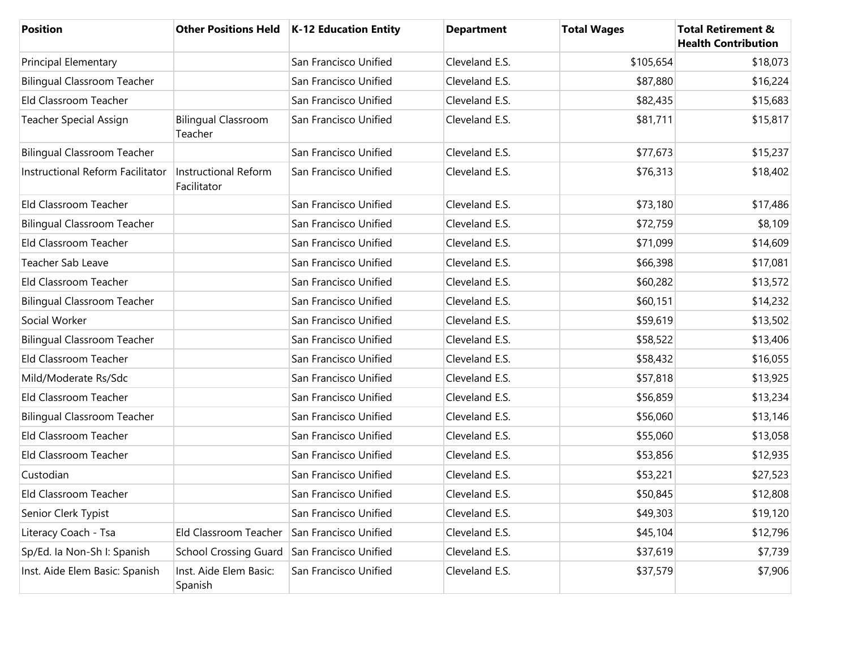| <b>Position</b>                    |                                       | Other Positions Held   K-12 Education Entity | <b>Department</b> | <b>Total Wages</b> | <b>Total Retirement &amp;</b><br><b>Health Contribution</b> |
|------------------------------------|---------------------------------------|----------------------------------------------|-------------------|--------------------|-------------------------------------------------------------|
| Principal Elementary               |                                       | San Francisco Unified                        | Cleveland E.S.    | \$105,654          | \$18,073                                                    |
| <b>Bilingual Classroom Teacher</b> |                                       | San Francisco Unified                        | Cleveland E.S.    | \$87,880           | \$16,224                                                    |
| Eld Classroom Teacher              |                                       | San Francisco Unified                        | Cleveland E.S.    | \$82,435           | \$15,683                                                    |
| <b>Teacher Special Assign</b>      | <b>Bilingual Classroom</b><br>Teacher | San Francisco Unified                        | Cleveland E.S.    | \$81,711           | \$15,817                                                    |
| <b>Bilingual Classroom Teacher</b> |                                       | San Francisco Unified                        | Cleveland E.S.    | \$77,673           | \$15,237                                                    |
| Instructional Reform Facilitator   | Instructional Reform<br>Facilitator   | San Francisco Unified                        | Cleveland E.S.    | \$76,313           | \$18,402                                                    |
| Eld Classroom Teacher              |                                       | San Francisco Unified                        | Cleveland E.S.    | \$73,180           | \$17,486                                                    |
| <b>Bilingual Classroom Teacher</b> |                                       | San Francisco Unified                        | Cleveland E.S.    | \$72,759           | \$8,109                                                     |
| Eld Classroom Teacher              |                                       | San Francisco Unified                        | Cleveland E.S.    | \$71,099           | \$14,609                                                    |
| <b>Teacher Sab Leave</b>           |                                       | San Francisco Unified                        | Cleveland E.S.    | \$66,398           | \$17,081                                                    |
| Eld Classroom Teacher              |                                       | San Francisco Unified                        | Cleveland E.S.    | \$60,282           | \$13,572                                                    |
| <b>Bilingual Classroom Teacher</b> |                                       | San Francisco Unified                        | Cleveland E.S.    | \$60,151           | \$14,232                                                    |
| Social Worker                      |                                       | San Francisco Unified                        | Cleveland E.S.    | \$59,619           | \$13,502                                                    |
| <b>Bilingual Classroom Teacher</b> |                                       | San Francisco Unified                        | Cleveland E.S.    | \$58,522           | \$13,406                                                    |
| Eld Classroom Teacher              |                                       | San Francisco Unified                        | Cleveland E.S.    | \$58,432           | \$16,055                                                    |
| Mild/Moderate Rs/Sdc               |                                       | San Francisco Unified                        | Cleveland E.S.    | \$57,818           | \$13,925                                                    |
| Eld Classroom Teacher              |                                       | San Francisco Unified                        | Cleveland E.S.    | \$56,859           | \$13,234                                                    |
| <b>Bilingual Classroom Teacher</b> |                                       | San Francisco Unified                        | Cleveland E.S.    | \$56,060           | \$13,146                                                    |
| Eld Classroom Teacher              |                                       | San Francisco Unified                        | Cleveland E.S.    | \$55,060           | \$13,058                                                    |
| Eld Classroom Teacher              |                                       | San Francisco Unified                        | Cleveland E.S.    | \$53,856           | \$12,935                                                    |
| Custodian                          |                                       | San Francisco Unified                        | Cleveland E.S.    | \$53,221           | \$27,523                                                    |
| Eld Classroom Teacher              |                                       | San Francisco Unified                        | Cleveland E.S.    | \$50,845           | \$12,808                                                    |
| Senior Clerk Typist                |                                       | San Francisco Unified                        | Cleveland E.S.    | \$49,303           | \$19,120                                                    |
| Literacy Coach - Tsa               | Eld Classroom Teacher                 | San Francisco Unified                        | Cleveland E.S.    | \$45,104           | \$12,796                                                    |
| Sp/Ed. la Non-Sh I: Spanish        | <b>School Crossing Guard</b>          | San Francisco Unified                        | Cleveland E.S.    | \$37,619           | \$7,739                                                     |
| Inst. Aide Elem Basic: Spanish     | Inst. Aide Elem Basic:<br>Spanish     | San Francisco Unified                        | Cleveland E.S.    | \$37,579           | \$7,906                                                     |